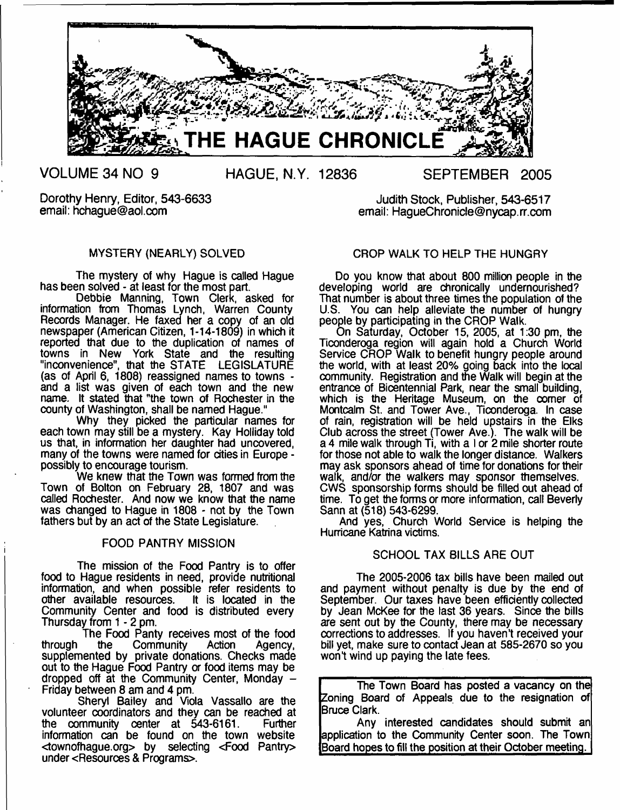

**VOLUME 34 NO 9**

Dorothy Henry, Editor, 543-6633 email: [hchague@aol.com](mailto:hchague@aol.com)

Judith Stock, Publisher, 543-6517 email: [HagueChronicle@nycap.rr.com](mailto:HagueChronicle@nycap.rr.com)

## MYSTERY (NEARLY) SOLVED

The mystery of why Hague is called Hague has been solved - at least for the most part.

Debbie Manning, Town Clerk, asked for information from Thomas Lynch, Warren County Records Manager. He faxed her a copy of an old newspaper (American Citizen, 1-14-1809) in which it reported that due to the duplication of names of towns in New York State and the resulting "inconvenience", that the STATE LEGISLATURE (as of April 6, 1808) reassigned names to towns and a list was given of each town and the new name. It stated that "the town of Rochester in the county of Washington, shall be named Hague."

Why they picked the particular names for each town may still be a mystery. Kay Holliday told us that, in information her daughter had uncovered, many of the towns were named for cities in Europe possibly to encourage tourism.

We knew that the Town was formed from the Town of Bolton on February 28, 1807 and was called Rochester. And now we know that the name was changed to Hague in 1808 - not by the Town fathers but by an act of the State Legislature.

#### FOOD PANTRY MISSION

The mission of the Food Pantry is to offer food to Hague residents in need, provide nutritional information, and when possible refer residents to other available resources. It is located in the Community Center and food is distributed every Thursday from 1 - 2 pm.

The Food Panty receives most of the food<br>the Community Action Agency, through the Community Action Agency, supplemented by private donations. Checks made out to the Hague Food Pantry or food items may be dropped off at the Community Center, Monday  $-$ Friday between 8 am and 4 pm.

Sheryl Bailey and Viola Vassallo are the volunteer coordinators and they can be reached at the community center at 543-6161. Further information can be found on the town website <townofhague.org> by selecting <Food Pantry> under <Resources & Programs>.

## CROP WALK TO HELP THE HUNGRY

Do you know that about 800 million people in the developing world are chronically undernourished? That number is about three times the population of the U.S. You can help alleviate the number of hungry people by participating in the CROP Walk.

On Saturday, October 15, 2005, at 1:30 pm, the Ticonderoga region will again hold a Church World Service CROP Walk to benefit hungry people around the world, with at least 20% going back into the local community. Registration and the Walk will begin at the entrance of Bicentennial Park, near the small building, which is the Heritage Museum, on the corner of Montcalm St. and Tower Ave., Ticonderoga. In case of rain, registration will be held upstairs in the Elks Club across the street (Tower Ave.). The walk will be a 4 mile walk through Ti, with a I or 2 mile shorter route for those not able to walk the longer distance. Walkers may ask sponsors ahead of time for donations for their walk, and/or the walkers may sponsor themselves. CWS sponsorship forms should be filled out ahead of time. To get the forms or more information, call Beverly Sann at (518) 543-6299.

And yes, Church World Service is helping the Hurricane Katrina victims.

## SCHOOL TAX BILLS ARE OUT

The 2005-2006 tax bills have been mailed out and payment without penalty is due by the end of September. Our taxes have been efficiently collected by Jean McKee for the last 36 years. Since the bills are sent out by the County, there may be necessary corrections to addresses. If you haven't received your bill yet, make sure to contact Jean at 585-2670 so you won't wind up paying the late fees.

The Town Board has posted a vacancy on the Zoning Board of Appeals due to the resignation of Bruce Clark.

Any interested candidates should submit an application to the Community Center soon. The Town Board hopes to fill the position at their October meeting.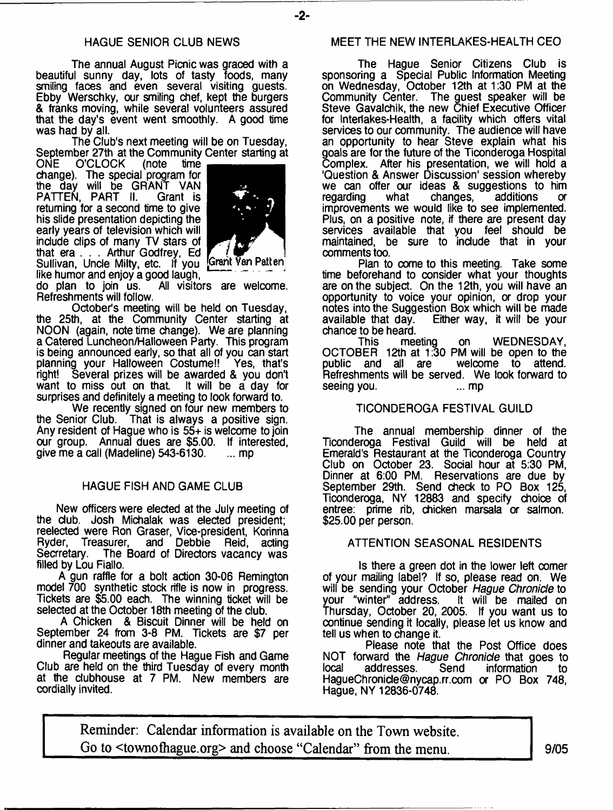The annual August Picnic was graced with a beautiful sunny day, lots of tasty foods, many smiling faces and even several visiting guests. Ebby Werschky, our smiling chef, kept the burgers & franks moving, while several volunteers assured that the day's event went smoothly. A good time was had by all.

The Club's next meeting will be on Tuesday, September 27th at the Community Center starting at<br>ONE O'CLOCK (note time

O'CLOCK change). The special program for the day will be GRANT VAN PATTEN, PART II. Grant is returning for a second time to give his slide presentation depicting the early years of television which will include dips of many TV stars of that era . . . Arthur Godfrey, Ed Sullivan, Uncle Milty, etc. If you Grant Van Patten



-2-

like humor and enjoy a good laugh,  $\frac{1}{1}$  are welcome. do plan to join us. All visitors are welcome. Refreshments will follow.

October's meeting will be held on Tuesday, the 25th, at the Community Center starting at NOON (again, note time change). We are planning a Catered Luncheon/Halloween Party. This program is being announced early, so that all of you can start planning your Halloween Costume!! Yes, that's right! Several prizes will be awarded & you don't want to miss out on that. surprises and definitely a meeting to look forward to.

We recently signed on four new members to the Senior Club. That is always a positive sign. Any resident of Hague who is 55+ is welcome to join our group. Annual dues are \$5.00. If interested, give me a call (Madeline) 543-6130. ... mp give me a call (Madeline)  $543-6130$ .

## HAGUE FISH AND GAME CLUB

New officers were eleded at the July meeting of the dub. Josh Michalak was elected president; reelected were Ron Graser, Vice-president, Korinna<br>Ryder, Treasurer, and Debbie Reid, acting Ryder, Treasurer, and Debbie<br>Secrretary. The Board of Directors The Board of Directors vacancy was filled by Lou Fiallo.

A gun raffle for a bolt action 30-06 Remington model 700 synthetic stock rifle is now in progress. Tickets are \$5.00 each. The winning ticket will be selected at the October 18th meeting of the club.

A Chicken & Biscuit Dinner will be held on September 24 from 3-8 PM. Tickets are \$7 per dinner and takeouts are available.

Regular meetings of the Hague Fish and Game Club are held on the third Tuesday of every month at the dubhouse at 7 PM. New members are cordially invited.

## MEET THE NEW INTERLAKES-HEALTH CEO

The Hague Senior Citizens Club is sponsoring a Spedal Public Information Meeting on Wednesday, Odober 12th at 1:30 PM at the Community Center. The guest speaker will be Steve Gavalchik, the new Chief Executive Officer for Interlakes-Health, a facility which offers vital services to our community. The audience will have an opportunity to hear Steve explain what his goals are for the future of the Ticonderoga Hospital Complex. After his presentation, we will hold a 'Question & Answer Discussion' session whereby we can offer our ideas & suggestions to him<br>regarding what changes, additions or changes, improvements we would like to see implemented. Plus, on a positive note, if there are present day services available that you feel should be maintained, be sure to indude that in your comments too.

Plan to come to this meeting. Take some time beforehand to consider what your thoughts are on the subjed. On the 12th, you will have an opportunity to voice your opinion, or drop your notes into the Suggestion Box which will be made<br>available that day. Either way, it will be your Either way, it will be your chance to be heard.

This meeting on WEDNESI OCTOBER 12th at 1:30 PM will be open to the public and all are welcome to attend. Refreshments will be served. We look forward to seeing you. seeing you.

## TICONDEROGA FESTIVAL GUILD

The annual membership dinner of the Ticonderoga Festival Guild will be held at Emerald's Restaurant at the Ticonderoga Country Club on Odober 23. Sodal hour at 5:30 PM, Dinner at 6:00 PM. Reservations are due by September 29th. Send check to PO Box 125, Ticonderoga, NY 12883 and specify choice of entree: prime rib, chicken marsala or salmon. \$25.00 per person.

## ATTENTION SEASONAL RESIDENTS

Is there a green dot in the lower left comer of your mailing label? If so, please read on. We will be sending your Odober *Hague Chronicle* to your "winter" address. It will be mailed on Thursday, Odober 20, 2005. If you want us to continue sending it locally, please let us know and tell us when to change it.

Please note that the Post Office does NOT forward the *Hague Chronicle* that goes to addresses. [HagueChronide@nycap.rr.com](mailto:HagueChronide@nycap.rr.com) *or* PO Box 748, Hague, NY 12836-0748.

**Reminder: Calendar information is available on the Town website. Go to <townofhague.org> and choose "Calendar" from the menu. 9/05**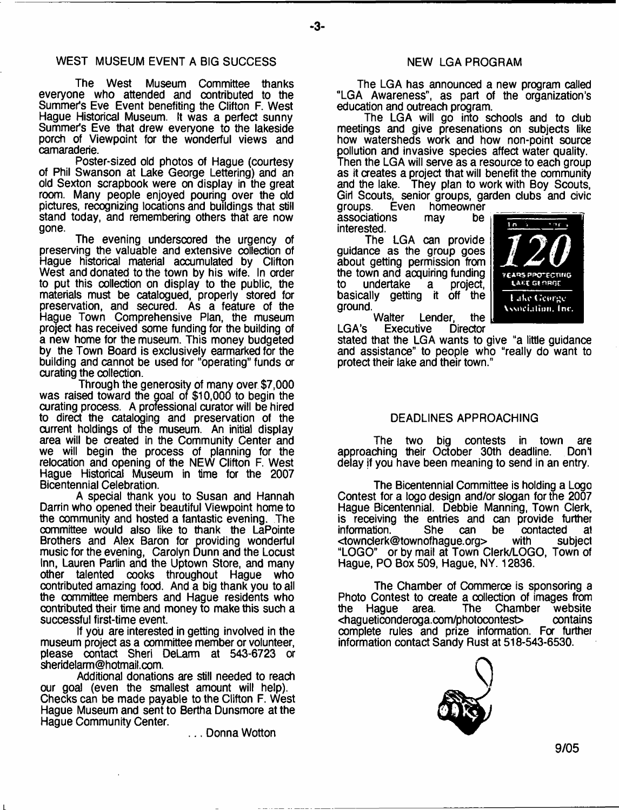## WEST MUSEUM EVENT A BIG SUCCESS

The West Museum Committee thanks everyone who attended and contributed to the Summer's Eve Event benefiting the Clifton F. West Hague Historical Museum. It was a perfect sunny Summer's Eve that drew everyone to the lakeside porch of Viewpoint for the wonderful views and camaraderie.

Poster-sized old photos of Hague (courtesy of Phil Swanson at Lake George Lettering) and an old Sexton scrapbook were on display in the great room. Many people enjoyed pouring over the old pictures, recognizing locations and buildings that sdll stand today, and remembering others that are now gone.

The evening underscored the urgency of preserving the valuable and extensive collection of Hague historical material accumulated by Clifton West and donated to the town by his wife. In order to put this collection on display to the public, the materials must be catalogued, properly stored for preservation, and secured. As a feature of the Hague Town Comprehensive Plan, the museum project has received some funding for the building of a new home for the museum. This money budgeted by the Town Board is exclusively earmarked for the building and cannot be used for "operating" funds or curating the collection.

Through the generosity of many over \$7,000 was raised toward the goal of \$10,000 to begin the curating process. A professional curator will be hired to direct the cataloging and preservation of the current holdings of the museum. An initial display area will be created in the Community Center and we will begin the process of planning for the relocation and opening of the NEW Clifton F. West Hague Historical Museum in time for the 2007 Bicentennial Celebration.

A special thank you to Susan and Hannah Darrin who opened their beautiful Viewpoint home to the community and hosted a fantastic evening. The committee would also like to thank the LaPointe Brothers and Alex Baron for providing wonderful music for the evening, Carolyn Dunn and the Locust Inn, Lauren Parlin and the Uptown Store, and many other talented cooks throughout Hague who contributed amazing food. And a big thank you to all the committee members and Hague residents who contributed their time and money to make this such a successful first-time event.

If you are interested in getting involved in the museum project as a committee member or volunteer, please contact Sheri DeLarm at 543-6723 or [sheridelarm@hotmail.com](mailto:sheridelarm@hotmail.com).

Additional donations are still needed to reach our goal (even the smallest amount will help). Checks can be made payable to the Clifton F. West Hague Museum and sent to Bertha Dunsmore at the Hague Community Center.

... Donna Wotton

#### NEW LGA PROGRAM

The LGA has announced a new program called "LGA Awareness", as part of the organization's education and outreach program.

The LGA will go into schools and to dub meetings and give presenations on subjects like how watersheds work and how non-point source pollution and invasive species affect water quality. Then the LGA will serve as a resource to each group as it creates a project that will benefit the community and the lake. They plan to work with Boy Scouts, Girl Scouts, senior groups, garden clubs and civic<br>groups. Even homeowner

homeowner<br>may be associations interested.

The LGA can provide guidance as the group goes about getting permission from the town and acquiring funding<br>to undertake a project, undertake basically getting it off the ground.



Walter Lender, the<br>Executive Director LGA's Executive

stated that the LGA wants to give "a little guidance and assistance" to people who "really do want to protect their lake and their town."

#### DEADLINES APPROACHING

The two big contests in town are<br>ching their October 30th deadline. Don't approaching their October 30th deadline. delay if you have been meaning to send in an entry.

The Bicentennial Committee is holding a Logo Contest for a logo design and/or slogan for the 2007 Hague Bicentennial. Debbie Manning, Town Clerk, is receiving the entries and can provide further<br>information. She can be contacted at information. She can be contacted at<br>
stownclerk@townofhaque.org> with subject [<townderk@townofhague.org](mailto:townderk@townofhague.org)> "LOGO" or by mail at Town Clerk/LOGO, Town of Hague, PO Box 509, Hague, NY. 12836.

The Chamber of Commerce is sponsoring a Photo Contest to create a collection of images from<br>the Hague area. The Chamber website Chamber website<br>ontest> contains <hagueticonderoga.com/photocontest> complete rules and prize information. For further information contact Sandy Rust at 518-543-6530.

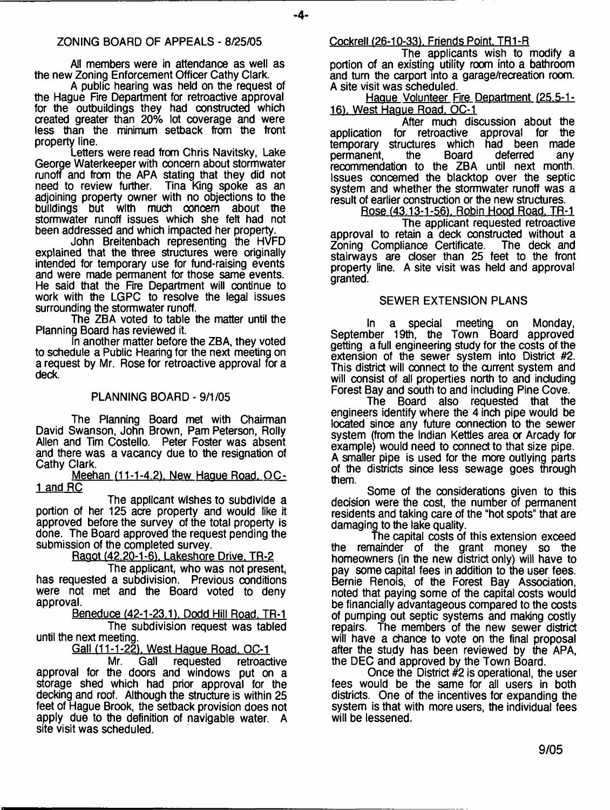#### ZONING BOARD OF APPEALS - 8/25/05

All members were in attendance as well as the new Zoning Enforcement Officer Cathy Clark.

A public hearing was held on the request of the Hague Fire Department for retroactive approval for the outbuildings they had constructed which created greater than 20% lot coverage and were less than the minimum setback from the front property line.

Letters were read from Chris Navitsky, Lake George Waterkeeper with concern about stormwater runoff and from the APA stating that they did not Tina King spoke as an adjoining property owner with no objections to the buildings but with much concern about the stormwater runoff issues which she felt had not been addressed and which impacted her property.

John Breitenbach representing the HVFD explained that the three structures were originally intended for temporary use for fund-raising events and were made permanent for those same events. He said that the Fire Department will continue to work with the LGPC to resolve the legal issues surrounding the stormwater runoff.

The ZBA voted to table the matter until the Planning Board has reviewed it.

In another matter before the ZBA, they voted to schedule a Public Hearing for the next meeting on a request by Mr. Rose for retroactive approval for a deck.

## PLANNING BOARD - 9/1/05

The Planning Board met with Chairman David Swanson, John Brown, Pam Peterson, Roily Allen and Tim Costello. Peter Foster was absent and there was a vacancy due to the resignation of Cathy Clark.

Meehan (11-1-4.2). New Hague Road. OC-1 and RC

The applicant wishes to subdivide a portion of her 125 acre property and would like it approved before the survey of the total property is done. The Board approved the request pending the submission of the completed survey.

Raggt (42.20-1-6). Lakeshore Drive. TR-2

The applicant, who was not present, has requested a subdivision. Previous conditions were not met and the Board voted to deny approval.

Beneduce (42-1-23.1), Dodd Hill Road. TR-1 The subdivision request was tabled until the next meeting.

Gall (11-1-22). West Hague Road. OC-1

Mr. Gall requested retroactive approval for the doors and windows put on a storage shed which had prior approval for the decking and roof. Although the structure is within 25 feet of Hague Brook, the setback provision does not apply due to the definition of navigable water. A site visit was scheduled.

Cockrell (26-10-33), Friends Point, TR1-R

The applicants wish to modify a portion of an existing utility room into a bathroom and turn the carport into a garage/recreation room. A site visit was scheduled.

Hague Volunteer Fire Department (25.5-1- 16). West Haque Road. OC-1

After much discussion about the application for retroactive approval for the temporary structures which had been made<br>permanent, the Board deferred any permanent, the Board deferred any recommendation to the ZBA until next month. Issues concerned the blacktop over the septic system and whether the stormwater runoff was a result of earlier construction or the new structures.

Rose (43.13-1-56). Robin Hood Road, TR-1 The applicant requested retroactive approval to retain a deck constructed without a<br>Zoning Compliance Certificate. The deck and Zoning Compliance Certificate. stairways are closer than 25 feet to the front property line. A site visit was held and approval granted.

#### SEWER EXTENSION PLANS

In a special meeting on Monday, September 19th, the Town Board approved getting a full engineering study for the costs of the extension of the sewer system into District #2. This district will connect to the current system and will consist of all properties north to and including Forest Bay and south to and including Pine Cove.

The Board also requested that the engineers identify where the 4 inch pipe would be located since any future connection to the sewer system (from the Indian Kettles area or Arcady for example) would need to connect to that size pipe. A smaller pipe is used for the more outlying parts of the districts since less sewage goes through them.

Some of the considerations given to this decision were the cost, the number of permanent residents and taking care of the "hot spots" that are damaging to the lake quality.

The capital costs of this extension exceed the remainder of the grant money so the homeowners (in the new district only) will have to pay some capital fees in addition to the user fees. Bernie Renois, of the Forest Bay Association, noted that paying some of the capital costs would be financially advantageous compared to the costs of pumping out septic systems and making costly repairs. The members of the new sewer district will have a chance to vote on the final proposal after the study has been reviewed by the APA, the DEC and approved by the Town Board.

Once the District  $#2$  is operational, the user fees would be the same for all users in both districts. One of the incentives for expanding the system is that with more users, the individual fees will be lessened.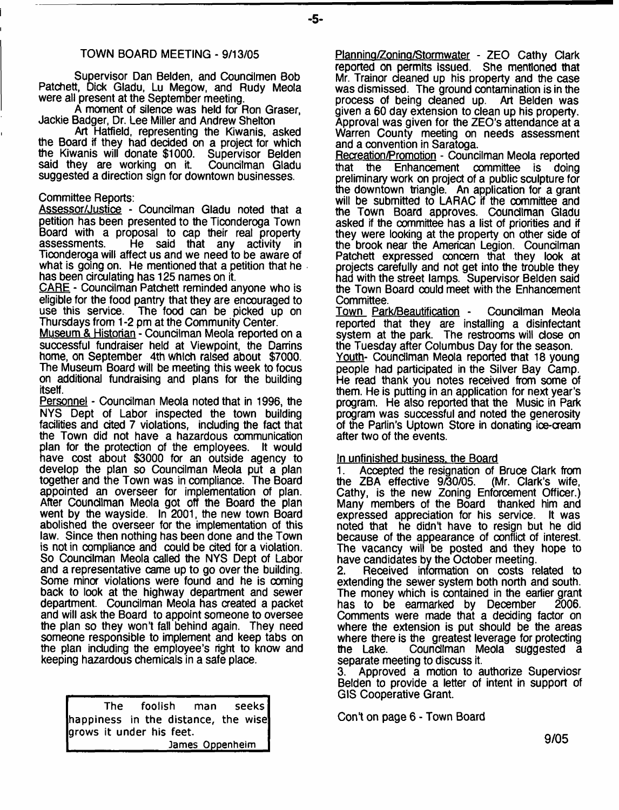#### TOWN BOARD MEETING - 9/13/05

Supervisor Dan Belden, and Coundlmen Bob Patchett, Dick Gladu, Lu Megow, and Rudy Meola were all present at the September meeting.

A moment of silence was held for Ron Graser, Jackie Badger, Dr. Lee Miller and Andrew Shelton

Art Hatfield, representing the Kiwanis, asked the Board if they had decided on a project for which<br>the Kiwanis will donate \$1000. Supervisor Belden the Kiwanis will donate \$1000. Supervisor Belden said they are working on it. suggested a direction sign for downtown businesses.

#### Committee Reports:

Assessor/Justice - Councilman Gladu noted that a petition has been presented to the Ticonderoga Town Board with a proposal to cap their real property<br>assessments. He said that any activity in He said that any activity in Ticonderoga will affect us and we need to be aware of what is going on. He mentioned that a petition that he has been circulating has 125 names on it.

CARE - Councilman Patchett reminded anyone who is eligible for the food pantry that they are encouraged to use this service. The food can be picked up on Thursdays from 1 -2 pm at the Community Center.

Museum & Historian - Councilman Meola reported on a successful fundraiser held at Viewpoint, the Damins home, on September 4th which raised about \$7000. The Museum Board will be meeting this week to focus on additional fundraising and plans for the building itself.

Personnel - Councilman Meola noted that in 1996, the NYS Dept of Labor inspected the town building facilities and cited 7 violations, including the fact that the Town did not have a hazardous communication plan for the protection of the employees. It would have cost about \$3000 for an outside agency to develop the plan so Councilman Meola put a plan together and the Town was in compliance. The Board appointed an overseer for implementation of plan. After Councilman Meola got off the Board the plan went by the wayside. In 2001, the new town Board abolished the overseer for the implementation of this law. Since then nothing has been done and the Town is notin compliance and could be cited fora violation. So Councilman Meola called the NYS Dept of Labor and a representative came up to go over the building. Some minor violations were found and he is coming back to look at the highway department and sewer department. Councilman Meola has created a packet and will ask the Board to appoint someone to oversee the plan so they won't fall behind again. They need someone responsible to implement and keep tabs on the plan including the employee's right to know and keeping hazardous chemicals in a safe place.

|                                                                 | The foolish man seeks |  |  |  |  |
|-----------------------------------------------------------------|-----------------------|--|--|--|--|
| happiness in the distance, the wise<br>grows it under his feet. |                       |  |  |  |  |
|                                                                 |                       |  |  |  |  |
| James Oppenheim                                                 |                       |  |  |  |  |

Planning/Zoning/Stormwater - ZEO Cathy Clark reported on permits Issued. She mentioned that Mr. Trainor cleaned up his property and the case was dismissed. The ground contamination is in the process of being cleaned up. Art Belden was given a 60 day extension to clean up his property. Approval was given for the ZEO's attendance at a Warren County meeting on needs assessment and a convention in Saratoga.

Recreation/Promotion - Councilman Meola reported<br>that the Enhancement committee is doing Enhancement committee is doing preliminary work on project of a public sculpture for the downtown triangle. An application for a grant will be submitted to LARAC if the committee and the Town Board approves. Councilman Gladu asked if the committee has a list of priorities and if they were looking at the property on other side of the brook near the American Legion. Councilman Patchett expressed concern that they look at projects carefully and not get into the trouble they had with the street lamps. Supervisor Belden said the Town Board could meet with the Enhancement Committee.

Town Park/Beautification - Councilman Meola reported that they are installing a disinfectant system at the park. The restrooms will dose on the Tuesday after Columbus Day for the season. Youth- Councilman Meola reported that 18 young people had participated in the Silver Bay Camp. He read thank you notes received from some of them. He is putting in an application for next year's program. He also reported that the Music in Park program was successful and noted the generosity of the Partin's Uptown Store in donating ioe-cream after two of the events.

#### In unfinished business, the Board

1. Accepted the resignation of Bruce Clark from the ZBA effective  $9\overline{0}0/05$ . Cathy, is the new Zoning Enforcement Officer.) Many members of the Board thanked him and expressed appreciation for his service. It was noted that he didn't have to resign but he did because of the appearance of conflict of interest. The vacancy will be posted and they hope to have candidates by the October meeting.

2. Received information on costs related to extending the sewer system both north and south. The money which is contained in the earlier grant has to be earmarked by December 2006. Comments were made that a deciding factor on where the extension is put should be the areas where there is the greatest leverage for protecting<br>the Lake. Councilman Meola suggested a Councilman Meola suggested a separate meeting to discuss it.

3. Approved a motion to authorize Superviosr Belden to provide a letter of intent in support of GIS Cooperative Grant.

Con\*t on page 6 - Town Board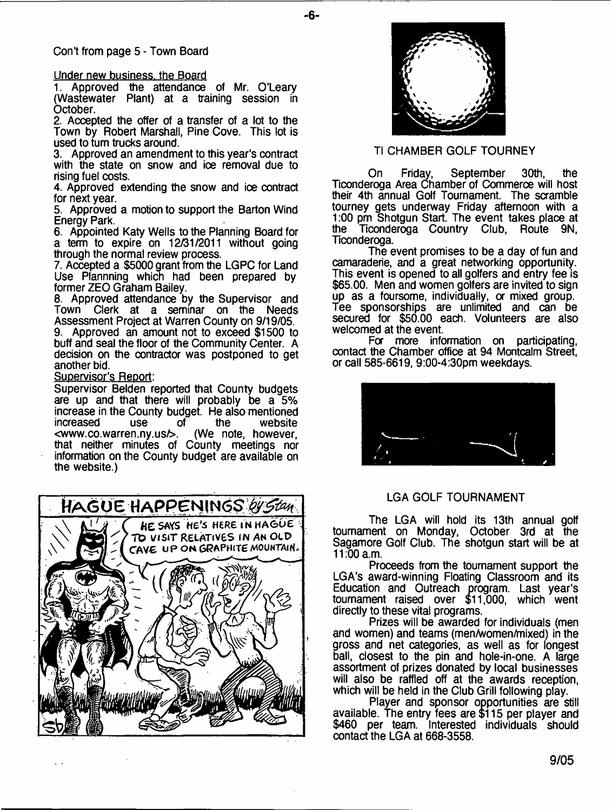#### Under new business, the Board

1. Approved the attendance of Mr. O'Leary (Wastewater Plant) at a training session in October.

2. Accepted the offer of a transfer of a lot to the Town by Robert Marshall, Pine Cove. This lot is used to turn trucks around.

3. Approved an amendment to this year's contract with the state on snow and ice removal due to rising fuel costs.

4. Approved extending the snow and ice contract for next year.

5. Approved a motion to support the Barton Wind Energy Park.

6. Appointed Katy Wells to the Planning Board for a term to expire on 12/31/2011 without going through the normal review process.

7. Accepted a \$5000 grant from the LGPC for Land Use Plannning which had been prepared by former ZEO Graham Bailey.

8. Approved attendance by the Supervisor and Town Clerk at a seminar on the Needs Assessment Project at Warren County on 9/19/05.

9. Approved an amount not to exceed \$1500 to buff and seal the floor of the Community Center. A decision on the contractor was postponed to get another bid.

#### Supervisor's Report:

Supervisor Belden reported that County budgets are up and that there will probably be a 5% increase in the County budget. He also mentioned<br>increased use of the website increased use of the website<br>
<www.co.warren.ny.us/>. (We\_note however.  $\leq$ www.co.warren.ny.us $\geq$ . that neither minutes of County meetings nor information on the County budget are available on the website.)





- **6**-

## Tl CHAMBER GOLF TOURNEY

On Friday, September 30th, the Ticonderoga Area Chamber of Commerce will host their 4th annual Golf Tournament. The scramble tourney gets underway Friday afternoon with a 1:00 pm Shotgun Start. The event takes place at the Ticonderoga Country Club, Route 9N, Ticonderoga.

The event promises to be a day of fun and camaraderie, and a great networking opportunity. This event is opened to all golfers and entry fee is \$65.00. Men and women golfers are invited to sign up as a foursome, individually, a mixed group. Tee sponsorships are unlimited and can be secured for \$50.00 each. Volunteers are also welcomed at the event.

For more information on participating, contact the Chamber office at 94 Montcalm Street, or call 585-6619, 9:00-4:30pm weekdays.



#### LGA GOLF TOURNAMENT

The LGA will hold its 13th annual golf tournament on Monday, October 3rd at the Sagamore Golf Club. The shotgun start will be at 11:00 a.m.

Proceeds from the tournament support the LGA's award-winning Floating Classroom and its Education and Outreach program. Last year's tournament raised over \$11,000, which went directly to these vital programs.

Prizes will be awarded for individuals (men and women) and teams (men/women/mixed) in the gross and net categories, as well as for longest ball, closest to the pin and hole-in-one. A large assortment of prizes donated by local businesses will also be raffled off at the awards reception, which will be held in the Club Grill following play.

Player and sponsor opportunities are still available. The entry fees are \$115 per player and \$460 per team. Interested individuals should contact the LGA at 668-3558.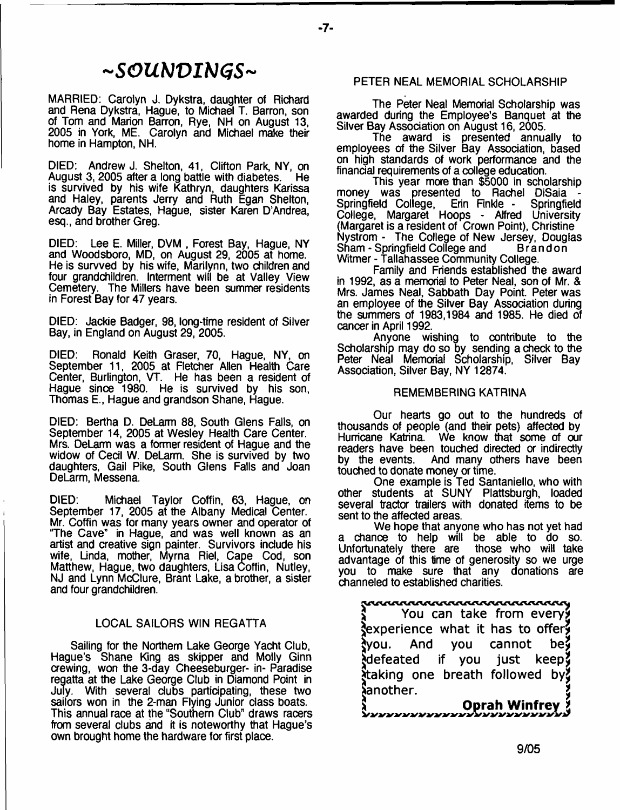## **-SOUNDINGS-**

MARRIED: Carolyn J. Dykstra, daughter of Richard and Rena Dykstra, Hague, to Michael T. Barron, son of Tom and Marion Barron, Rye, NH on August 13, 2005 in York, ME. Carolyn and Michael make their home in Hampton, NH.

DIED: Andrew J. Shelton, 41, Clifton Park, NY, on<br>August 3, 2005 after a long battle with diabetes. He August 3, 2005 after a long battle with diabetes. is survived by his wife Kathryn, daughters Karissa and Haley, parents Jerry and Ruth Egan Shelton, Arcady Bay Estates, Hague, sister Karen D'Andrea, esq., and brother Greg.

DIED: Lee E. Miller, DVM , Forest Bay, Hague, NY and Woodsboro, MD, on August 29, 2005 at home. He is survved by his wife, Marilynn, two children and four grandchildren. Interment will be at Valley View Cemetery. The Millers have been summer residents in Forest Bay for 47 years.

DIED: Jackie Badger, 98, long-time resident of Silver Bay, in England on August 29, 2005.

DIED: Ronald Keith Graser, 70, Hague, NY, on September 11, 2005 at Fletcher Allen Health Care Center, Burlington, VT. He has been a resident of Hague since 1980. He is survived by his son, Thomas E., Hague and grandson Shane, Hague.

DIED: Bertha D. DeLarm 88, South Glens Falls, on September 14, 2005 at Wesley Health Care Center. Mrs. DeLarm was a former resident of Hague and the widow of Cecil W. DeLarm. She is survived by two daughters, Gail Pike, South Glens Falls and Joan DeLarm, Messena.

DIED: Michael Taylor Coffin, 63, Hague, on September 17, 2005 at the Albany Medical Center. Mr. Coffin was for many years owner and operator of "The Cave" in Hague, and was well known as an artist and creative sign painter. Survivors include his wife, Linda, mother, Myrna Riel, Cape Cod, son Matthew, Hague, two daughters, Lisa Coffin, Nutley, NJ and Lynn McClure, Brant Lake, a brother, a sister and four grandchildren.

#### LOCAL SAILORS WIN REGATTA

Sailing for the Northern Lake George Yacht Club, Hague's Shane King as skipper and Molly Ginn crewing, won the 3-day Cheeseburger- in- Paradise regatta at the Lake George Club in Diamond Point in July. With several dubs participating, these two sailors won in the 2-man Flying Junior dass boats. This annual race at the "Southern Club" draws racers from several clubs and it is noteworthy that Hague's own brought home the hardware for first place.

#### PETER NEAL MEMORIAL SCHOLARSHIP

The Peter Neal Memorial Scholarship was awarded during the Employee's Banquet at the Silver Bay Assodation on August 16, 2005.

The award is presented annually to employees of the Silver Bay Association, based on high standards of work performance and the finandal requirements of a college education.

This year more than \$5000 in scholarship money was presented to Rachel DiSaia Springfield College, Erin Finkle - Springfield College, Margaret Hoops - Alfred University (Margaret is a resident of Crown Point), Christine Nystrom - The College of New Jersey, Douglas Sham - Springfield College and Witmer - Tallahassee Community College.

Family and Friends established the award in 1992, as a memorial to Peter Neal, son of Mr. & Mrs. James Neal, Sabbath Day Point. Peter was an employee of the Silver Bay Assodation during the summers of 1983,1984 and 1985. He died of cancer in April 1992.

Anyone wishing to contribute to the Scholarship may do so by sending a check to the Peter Neal Memorial Scholarship, Silver Bay Association, Silver Bay, NY 12874.

#### REMEMBERING KATRINA

Our hearts go out to the hundreds of thousands of people (and their pets) affected by Hurricane Katrina. We know that some of our readers have been touched directed or indirectly<br>by the events. And many others have been And many others have been touched to donate money or time.

One example is Ted Santaniello, who with other students at SUNY Plattsburgh, loaded several tractor trailers with donated items to be sent to the affected areas.

We hope that anyone who has not yet had a chance to help will be able to do so. Unfortunately there are those who will take advantage of this time of generosity so we urge you to make sure that any donations are channeled to established charities.

# dia<br>J - - You can take from every

^experience w hat it has to offer? dyou. And you cannot be? defeated if you just keep  $i$ taking one breath followed by Jianother.

**> Oprah Winfrey** *t*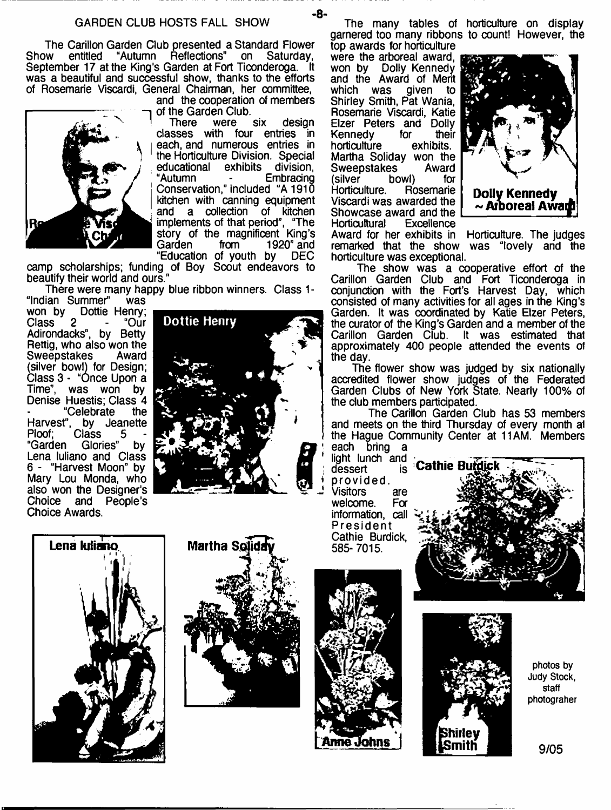The Carillon Garden Club presented a Standard Flower<br>Show entitled "Autumn Reflections" on Saturday. Show entitled "Autumn Reflections" on Saturday, September 17 at the King's Garden at Fort Ticonderoga. It was a beautiful and successful show, thanks to the efforts of Rosemarie Viscardi, General Chairman, her committee,

Re

and the cooperation of members

of the Garden Club.<br>There were six design classes with four entries in each, and numerous entries in the Horticulture Division. Special educational exhibits division,<br>"Autumn - Embracing "Autumn - Embracing Conservation," included "A 1910 kitchen with canning equipment and a collection of kitchen implements of that period", "The story of the magnificent King's Garden from 1920" and<br>"Education of youth by DEC "Education of youth by

camp scholarships; funding of Boy Scout endeavors to beautify their world and ours."

There were many happy blue ribbon winners. Class 1 -

"Indian Summer" was won by Dottie Henry;<br>Class 2 - "Our Class Adirondacks", by Betty Rettig, who also won the<br>Sweepstakes Award **Sweepstakes** (silver bowl) for Design; Class 3 - "Once Upon a Time", was won by Denise Huestis; Class 4<br>- "Celebrate the "Celebrate Harvest", by Jeanette Ploof; Class<br>"Garden Glori Glories" by Lena tuliano and Class 6 - "Harvest Moon" by Mary Lou Monda, who also won the Designer's Choice and People's Choice Awards.



The many tables of horticulture on display garnered too many ribbons to count! However, the top awards for horticulture

were the arboreal award, a won by Dolly Kennedy and the Award of Merit given to Shirley Smith, Pat Wania, Rosemarie Viscardi, Katie Elzer Peters and Dolly<br>Kennedy for their Kennedy for their<br>horticulture exhibits. horticulture Martha Soliday won the<br>Sweepstakes Award Sweepstakes Award<br>
(silver bowl) for bowl) for<br>Rosemarie Horticulture. Viscardi was awarded the Showcase award and the<br>Horticultural Excellence Horticultural



Award for her exhibits in Horticulture. The judges remarked that the show was "lovely and the horticulture was exceptional.

The show was a cooperative effort of the Carillon Garden Club and Fort Ticonderoga in conjunction with the Fort's Harvest Day, which consisted of many activities for all ages in the King's Garden. It was coordinated by Katie Elzer Peters, the curator of the King's Garden and a member of the Carillon Garden Club. It was estimated that approximately 400 people attended the events ol the day.

The flower show was judged by six nationally accredited flower show judges of the Federated Garden Clubs of New York State. Nearly 100% of the dub members participated.

The Carillon Garden Club has 53 members and meets on the third Thursday of every month al the Hague Community Center at 11AM. Members each bring a

dessert provided. Visitors are<br>welcome For welcome. information, call President Cathie Burdick, 585- 7015.











**photos by Judy Stock, staff photograher**

9/05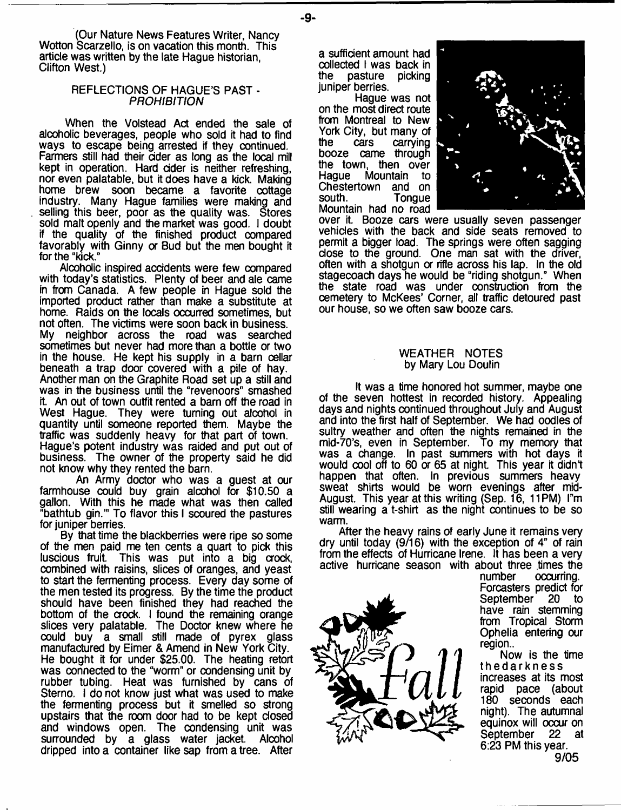(Our Nature News Features Writer, Nancy Wotton Scarzello, is on vacation this month. This article was written by the late Hague historian, Clifton West.)

#### REFLECTIONS OF HAGUE'S PAST - *PROHIBITION*

When the Volstead Act ended the sale of alcoholic beverages, people who sold it had to find ways to escape being arrested if they continued. Farmers still had their dder as long as the local mill kept in operation. Hard cider is neither refreshing, nor even palatable, but it does have a kick. Making home brew soon became a favorite cottage industry. Many Hague families were making and selling this beer, poor as the quality was. Stores sold malt openly and the market was good. I doubt if the quality of the finished product compared favorably with Ginny or Bud but the men bought it for the "kick."

Alcoholic inspired accidents were few compared with today's statistics. Plenty of beer and ale came in from Canada. A few people in Hague sold the imported product rather than make a substitute at home. Raids on the locals occurred sometimes, but not often. The victims were soon back in business. My neighbor across the road was searched sometimes but never had more than a bottle or two in the house. He kept his supply in a barn cellar beneath a trap door covered with a pile of hay. Another man on the Graphite Road set up a still and was in the business until the "revenoors" smashed it. An out of town outfit rented a barn off the road in West Hague. They were turning out alcohol in quantity until someone reported them. Maybe the traffic was suddenly heavy for that part of town. Hague's potent industry was raided and put out of business. The owner of the property said he did not know why they rented the barn.

An Army doctor who was a guest at our farmhouse could buy grain alcohol for \$10.50 a gallon. With this he made what was then called "bathtub gin.'" To flavor this I scoured the pastures for juniper berries.

By that time the blackberries were ripe so some of the men paid me ten cents a quart to pick this luscious fruit. This was put into a big crock, combined with raisins, slices of oranges, and yeast to start the fermenting process. Every day some of the men tested its progress. By the time the product should have been finished they had reached the bottom of the crock. I found the remaining orange slices very palatable. The Doctor knew where he could buy a small still made of pyrex glass manufactured by Eimer & Amend in New York City. He bought it for under \$25.00. The heating retort was connected to the "worm" or condensing unit by rubber tubing. Heat was furnished by cans of Sterno. I do not know just what was used to make the fermenting process but it smelled so strong upstairs that the room door had to be kept closed and windows open. The condensing unit was surrounded by a glass water jacket. Alcohol dripped into a container like sap from a tree. After

a sufficient amount had collected I was back in<br>the pasture picking pasture juniper berries.

Hague was not on the most direct route from Montreal to New York City, but many of<br>the cars carrying carrying booze came through the town, then over<br>Hague Mountain to Mountain to Chestertown and on<br>south. Tonque **Tongue** Mountain had no road



over it. Booze cars were usually seven passenger vehicles with the back and side seats removed to permit a bigger toad. The springs were often sagging dose to the ground. One man sat with the driver, often with a shotgun or rifle across his lap. In the old stagecoach days he would be "riding shotgun." When the state road was under construction from the cemetery to McKees' Corner, all traffic detoured past our house, so we often saw booze cars.

#### WEATHER NOTES by Mary Lou Doulin

It was a time honored hot summer, maybe one of the seven hottest in recorded history. Appealing days and nights continued throughout July and August and into the first half of September. We had oodles of sultry weather and often the nights remained in the mid-70's, even in September. To my memory that was a change. In past summers with hot days it would cool off to 60 or 65 at night. This year it didn't happen that often. In previous summers heavy sweat shirts would be worn evenings after mid-August. This year at this writing (Sep. 16, 11PM) l"m still wearing a t-shirt as the night continues to be so warm.

After the heavy rains of early June it remains very dry until today (9/16) with the exception of 4" of rain from the effects of Hurricane Irene. It has been a very active hurricane season with about three times the<br>number occurring.



occurring. Forcasters predict for September 20 to have rain stemming from Tropical Storm Ophelia entering our region..

Now is the time thedarkness increases at its most rapid pace (about 180 seconds each night). The autumnal equinox will occur on<br>September 22 at September 6:23 PM this year. 9/05